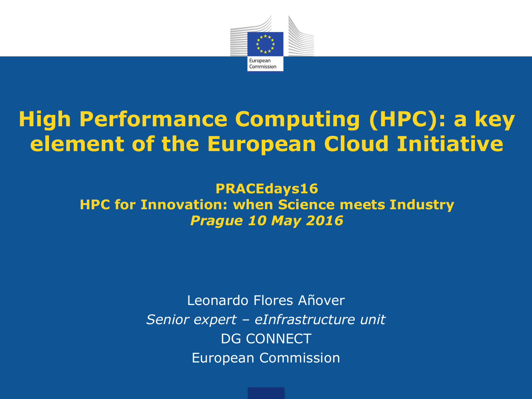

### **High Performance Computing (HPC): a key element of the European Cloud Initiative**

**PRACEdays16 HPC for Innovation: when Science meets Industry** *Prague 10 May 2016*

> Leonardo Flores Añover *Senior expert – eInfrastructure unit* DG CONNECT European Commission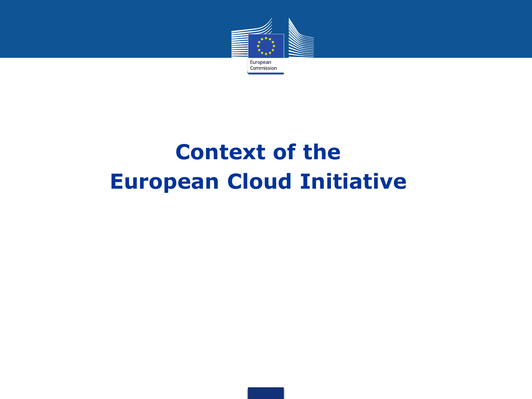

## **Context of the European Cloud Initiative**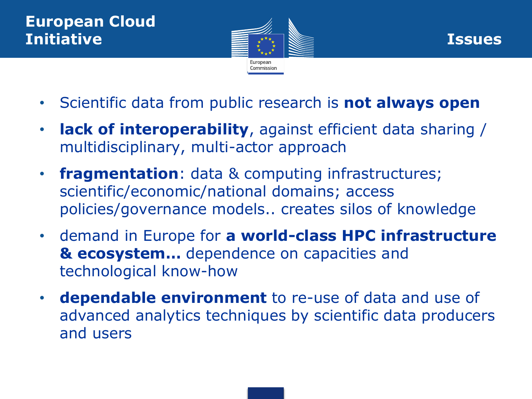



- Scientific data from public research is **not always open**
- **lack of interoperability**, against efficient data sharing / multidisciplinary, multi-actor approach
- **fragmentation**: data & computing infrastructures; scientific/economic/national domains; access policies/governance models.. creates silos of knowledge
- demand in Europe for **a world-class HPC infrastructure & ecosystem…** dependence on capacities and technological know-how
- **dependable environment** to re-use of data and use of advanced analytics techniques by scientific data producers and users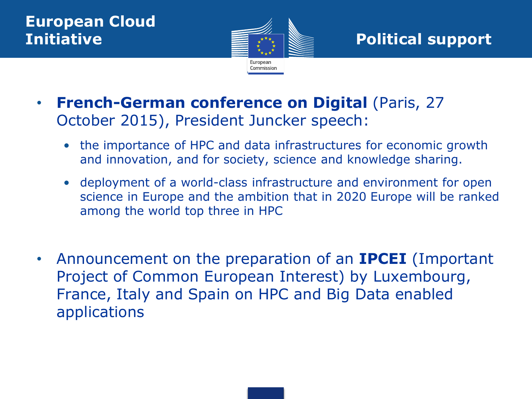

**Initiative Extra Research Political support** 

- **French-German conference on Digital** (Paris, 27 October 2015), President Juncker speech:
	- the importance of HPC and data infrastructures for economic growth and innovation, and for society, science and knowledge sharing.
	- deployment of a world-class infrastructure and environment for open science in Europe and the ambition that in 2020 Europe will be ranked among the world top three in HPC
- Announcement on the preparation of an **IPCEI** (Important Project of Common European Interest) by Luxembourg, France, Italy and Spain on HPC and Big Data enabled applications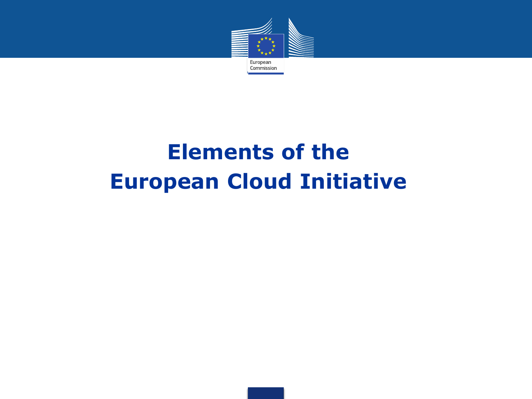

## **Elements of the European Cloud Initiative**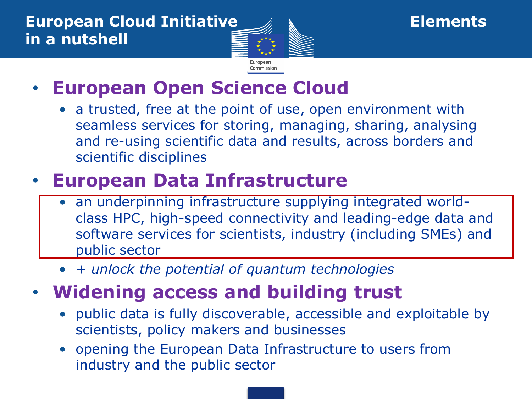

### • **European Open Science Cloud**

• a trusted, free at the point of use, open environment with seamless services for storing, managing, sharing, analysing and re-using scientific data and results, across borders and scientific disciplines

### • **European Data Infrastructure**

- an underpinning infrastructure supplying integrated worldclass HPC, high-speed connectivity and leading-edge data and software services for scientists, industry (including SMEs) and public sector
- *+ unlock the potential of quantum technologies*

### • **Widening access and building trust**

- public data is fully discoverable, accessible and exploitable by scientists, policy makers and businesses
- opening the European Data Infrastructure to users from industry and the public sector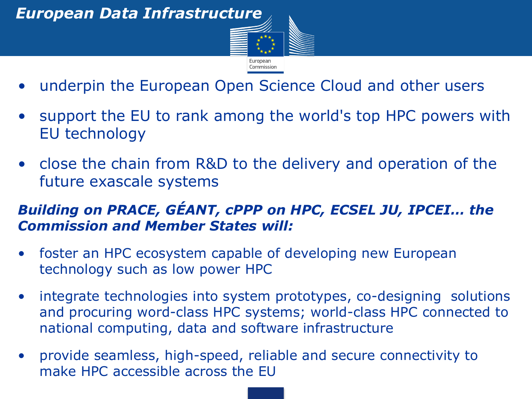

- underpin the European Open Science Cloud and other users
- support the EU to rank among the world's top HPC powers with EU technology
- close the chain from R&D to the delivery and operation of the future exascale systems

#### *Building on PRACE, GÉANT, cPPP on HPC, ECSEL JU, IPCEI… the Commission and Member States will:*

- foster an HPC ecosystem capable of developing new European technology such as low power HPC
- integrate technologies into system prototypes, co-designing solutions and procuring word-class HPC systems; world-class HPC connected to national computing, data and software infrastructure
- provide seamless, high-speed, reliable and secure connectivity to make HPC accessible across the EU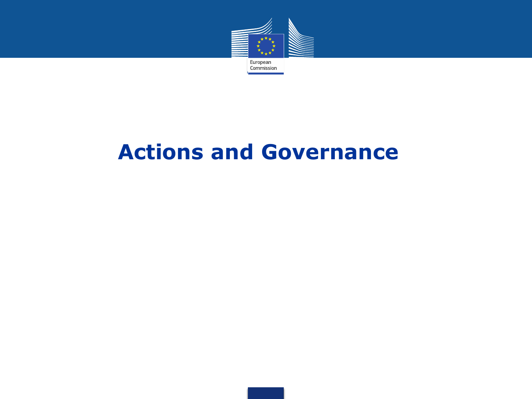

### **Actions and Governance**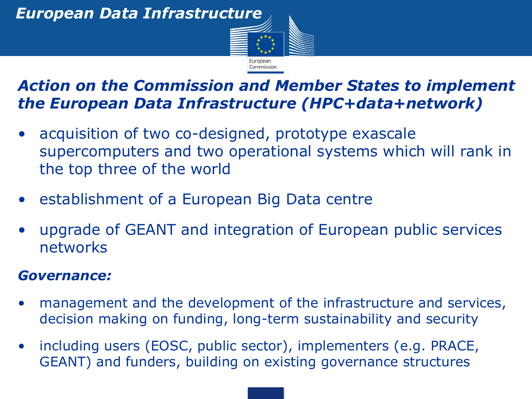

#### *Action on the Commission and Member States to implement the European Data Infrastructure (HPC+data+network)*

- acquisition of two co-designed, prototype exascale supercomputers and two operational systems which will rank in the top three of the world
- establishment of a European Big Data centre
- upgrade of GEANT and integration of European public services networks

#### *Governance:*

- management and the development of the infrastructure and services, decision making on funding, long-term sustainability and security
- including users (EOSC, public sector), implementers (e.g. PRACE, GEANT) and funders, building on existing governance structures